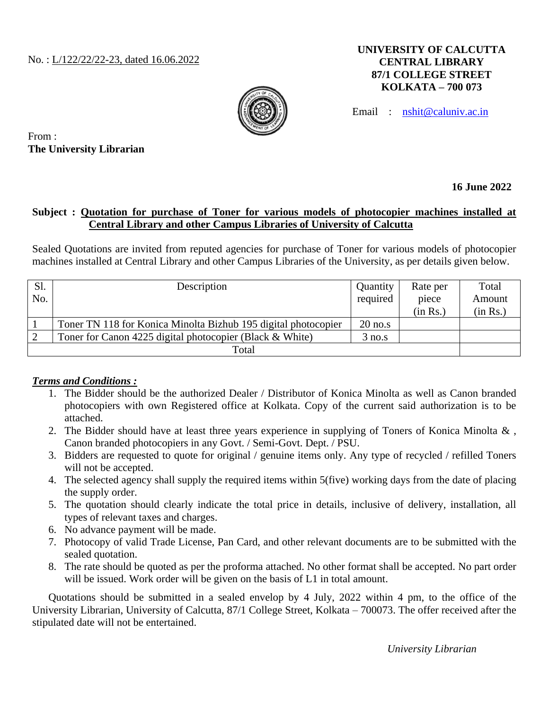#### **UNIVERSITY OF CALCUTTA CENTRAL LIBRARY 87/1 COLLEGE STREET KOLKATA – 700 073**



Email : [nshit@caluniv.ac.in](mailto:nshit@caluniv.ac.in)

From : **The University Librarian**

# **16 June 2022**

### **Subject : Quotation for purchase of Toner for various models of photocopier machines installed at Central Library and other Campus Libraries of University of Calcutta**

Sealed Quotations are invited from reputed agencies for purchase of Toner for various models of photocopier machines installed at Central Library and other Campus Libraries of the University, as per details given below.

| Sl.   | Description                                                    | Quantity  | Rate per | Total    |
|-------|----------------------------------------------------------------|-----------|----------|----------|
| No.   |                                                                | required  | piece    | Amount   |
|       |                                                                |           | (in Rs.) | (in Rs.) |
|       | Toner TN 118 for Konica Minolta Bizhub 195 digital photocopier | $20$ no.s |          |          |
|       | Toner for Canon 4225 digital photocopier (Black & White)       | 3 no.s    |          |          |
| Total |                                                                |           |          |          |

### *Terms and Conditions :*

- 1. The Bidder should be the authorized Dealer / Distributor of Konica Minolta as well as Canon branded photocopiers with own Registered office at Kolkata. Copy of the current said authorization is to be attached.
- 2. The Bidder should have at least three years experience in supplying of Toners of Konica Minolta & , Canon branded photocopiers in any Govt. / Semi-Govt. Dept. / PSU.
- 3. Bidders are requested to quote for original / genuine items only. Any type of recycled / refilled Toners will not be accepted.
- 4. The selected agency shall supply the required items within 5(five) working days from the date of placing the supply order.
- 5. The quotation should clearly indicate the total price in details, inclusive of delivery, installation, all types of relevant taxes and charges.
- 6. No advance payment will be made.
- 7. Photocopy of valid Trade License, Pan Card, and other relevant documents are to be submitted with the sealed quotation.
- 8. The rate should be quoted as per the proforma attached. No other format shall be accepted. No part order will be issued. Work order will be given on the basis of L1 in total amount.

Quotations should be submitted in a sealed envelop by 4 July, 2022 within 4 pm, to the office of the University Librarian, University of Calcutta, 87/1 College Street, Kolkata – 700073. The offer received after the stipulated date will not be entertained.